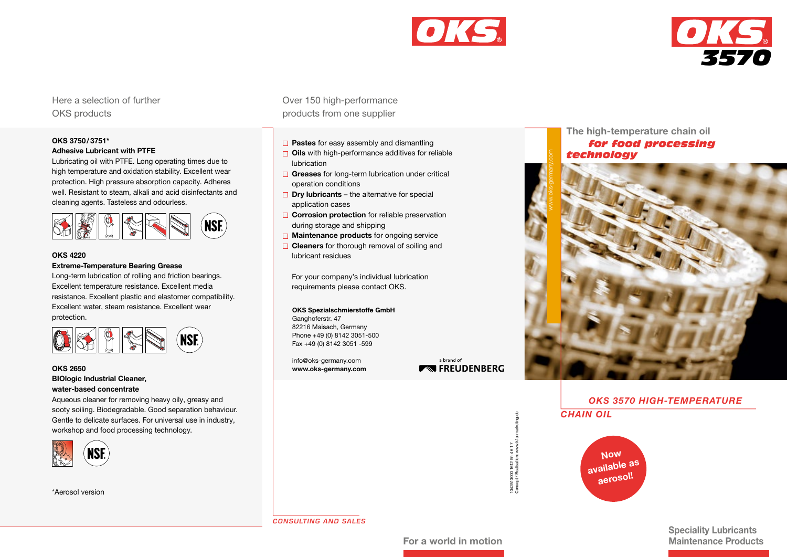



Here a selection of further OKS products

# OKS 3750/3751\* Adhesive Lubricant with PTFE

Lubricating oil with PTFE. Long operating times due to high temperature and oxidation stability. Excellent wear protection. High pressure absorption capacity. Adheres well. Resistant to steam, alkali and acid disinfectants and cleaning agents. Tasteless and odourless.



# OKS 4220

#### Extreme-Temperature Bearing Grease

Long-term lubrication of rolling and friction bearings. Excellent temperature resistance. Excellent media resistance. Excellent plastic and elastomer compatibility. Excellent water, steam resistance. Excellent wear protection.



# OKS 2650 BIOlogic Industrial Cleaner, water-based concentrate

Aqueous cleaner for removing heavy oily, greasy and sooty soiling. Biodegradable. Good separation behaviour. Gentle to delicate surfaces. For universal use in industry, workshop and food processing technology.



\*Aerosol version

Over 150 high-performance products from one supplier

- $\Box$  Pastes for easy assembly and dismantling
- $\Box$  Oils with high-performance additives for reliable lubrication
- $\Box$  Greases for long-term lubrication under critical operation conditions
- $\Box$  Dry lubricants the alternative for special application cases
- $\Box$  Corrosion protection for reliable preservation during storage and shipping
- $\Box$  Maintenance products for ongoing service
- $\Box$  Cleaners for thorough removal of soiling and lubricant residues

For your company's individual lubrication requirements please contact OKS.

#### OKS Spezialschmierstoffe GmbH

Ganghoferstr. 47 82216 Maisach, Germany Phone +49 (0) 8142 3051-500 Fax +49 (0) 8142 3051 -599

info@oks-germany.com www.oks-germany.com

a brand of **EXECUDENBERG** 

> 1042510000 1612 En 4 6 1 7 Concept / Realisation: www.k1a-marketing.de

1042510000 1612 En 4 6 1 7<br>Concept / Realisation: www.k

The high-temperature chain oil *for food processing technology* 



# *OKS 3570 HIGH-TEMPERATURE*

*CHAIN OIL*



Speciality Lubricants

*CONSULTING AND SALES*

For a world in motion **Maintenance Products**